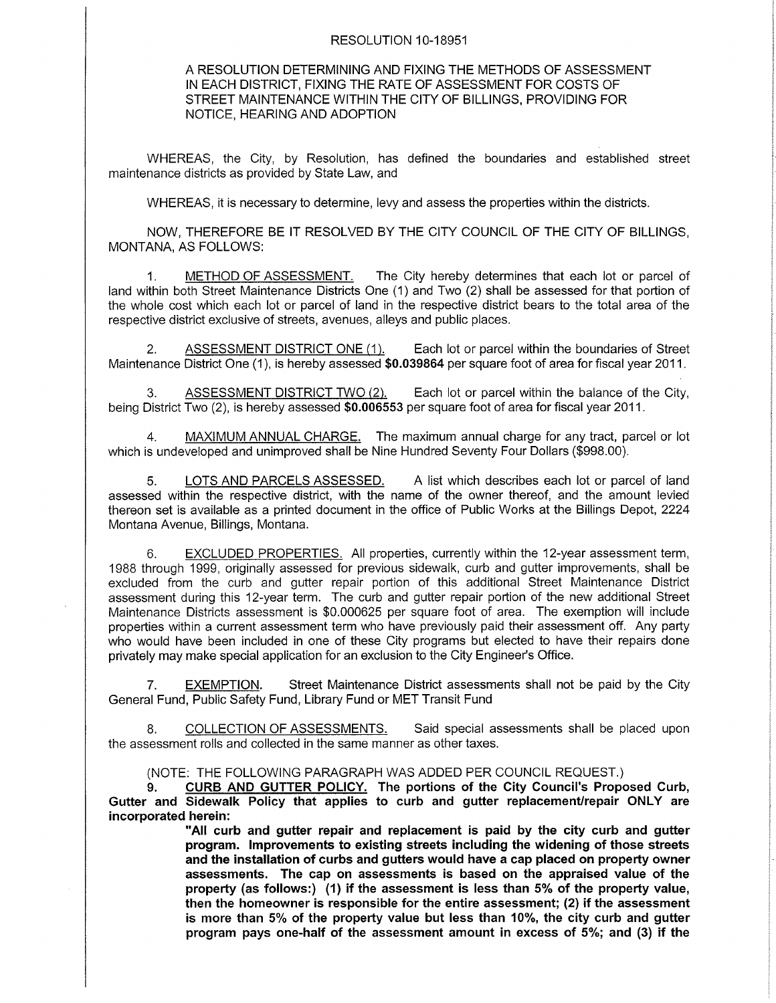## RESOLUTION 10-18951

## A RESOLUTION DETERMINING AND FIXING THE METHODS OF ASSESSMENT IN EACH DISTRICT, FIXING THE RATE OF ASSESSMENT FOR COSTS OF STREET MAINTENANCE WITHIN THE CITY OF BILLINGS. PROVIDING FOR NOTICE. HEARING AND ADOPTION

WHEREAS, the City, by Resolution, has defined the boundaries and established street maintenance districts as provided by State Law, and

WHEREAS, it is necessary to determine, levy and assess the properties within the districts.

NOW. THEREFORE BE IT RESOLVED BY THE CITY COUNCIL OF THE CITY OF BILLINGS, MONTANA, AS FOLLOWS:

1. METHODOFASSESSMENT. The City hereby determines that each lot or parcel of land within both Street Maintenance Districts One (1) and Two (2) shall be assessed for that portion of the whole cost which each lot or parcel of land in the respective district bears to the total area of the respective district exclusive of streets, avenues, alleys and public places.

2. ASSESSMENT DISTRICT ONE (1). Each lot or parcel within the boundaries of Street Maintenance District One (1), is hereby assessed \$0.039864 per square foot of area for fiscal year 2011.

3. ASSESSMENT DISTRICT TWO (2). Each lot or parcel within the balance of the City, being District Two (2), is hereby assessed \$0.006553 per square foot of area for fiscal year 2011.

4. MAXIMUM ANNUAL CHARGE. The maximum annual charge for any tract, parcel or lot which is undeveloped and unimproved shall be Nine Hundred Seventy Four Dollars (\$998.00)

5. LOTS AND PARCELS ASSESSED. A list which describes each lot or parcel of land assessed within the respective district, with the name of the owner thereof, and the amount levied thereon set is available as a printed document in the office of Public Works at the Billings Depot,2224 Montana Avenue, Billings, Montana.

6. EXCLUDED PROPERTIES. All properties, currently within the 12-year assessment term, 1988 through'1999, originally assessed for previous sidewalk, curb and gutter improvements, shall be excluded from the curb and gutter repair portion of this additional Street Maintenance District assessment during this 12-year term. The curb and gutter repair portion of the new additional Street Maintenance Districts assessment is \$0.000625 per square foot of area. The exemption will include properties within a current assessment term who have previously paid their assessment off. Any party who would have been included in one of these City programs but elected to have their repairs done privately may make special application for an exclusion to the City Engineer's Office.

7. EXEMPTION. Street Maintenance District assessments shall not be paid by the City General Fund, Public Safety Fund, Library Fund or MET Transit Fund

8. COLLECTION OF ASSESSMENTS. Said special assessments shall be placed upon the assessment rolls and collected in the same manner as other taxes.

(NOTE: THE FOLLOWING PARAGRAPH WAS ADDED PER COUNCIL REOUEST.)

9. CURB AND GUTTER POLICY. The portions of the City Council's Proposed Curb, Gutter and Sidewalk Policy that applies to curb and gutter replacement/repair ONLY are incorporated herein:

> "All curb and gutter repair and replacement is paid by the city curb and gutter program. lmprovements to existing streets including the widening of those streets and the installation of curbs and gutters would have a cap placed on property owner assessments. The cap on assessments is based on the appraised value of the property (as follows:) (1) if the assessment is less than 5% of the property value, then the homeowner is responsible for the entire assessment; (2) if the assessment is more than 5% of the property value but less than 10%, the city curb and gutter program pays one-half of the assessment amount in excess of  $5\%$ ; and (3) if the